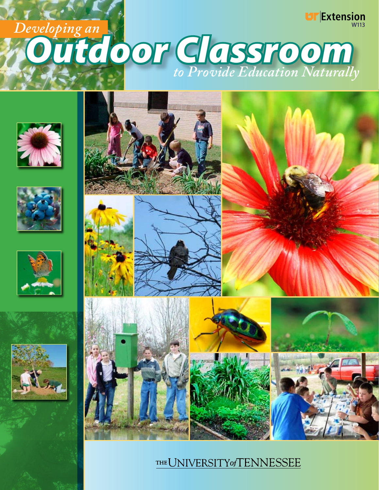### **Extension** W113 *Outdoor Classroom Developing an to Provide Education Naturally*













### THE UNIVERSITY of TENNESSEE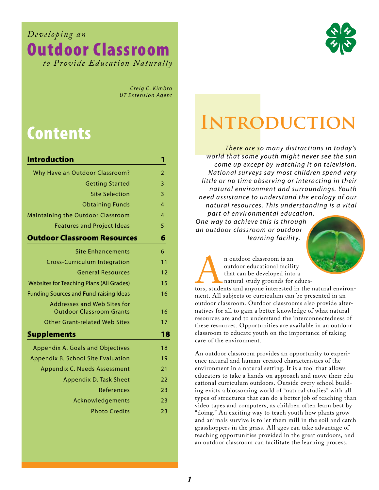*Developing an*  Outdoor Classroom *to P rovide Education Naturally*



 $C$ *reig C*. *Kimbro UT Extension Agent* 

# Contents

| <b>Introduction</b>                                            | 1  |
|----------------------------------------------------------------|----|
| Why Have an Outdoor Classroom?                                 | 2  |
| <b>Getting Started</b>                                         | 3  |
| <b>Site Selection</b>                                          | 3  |
| <b>Obtaining Funds</b>                                         | 4  |
| Maintaining the Outdoor Classroom                              | 4  |
| <b>Features and Project Ideas</b>                              | 5  |
| <b>Outdoor Classroom Resources</b>                             | 6  |
| <b>Site Enhancements</b>                                       | 6  |
| <b>Cross-Curriculum Integration</b>                            | 11 |
| <b>General Resources</b>                                       | 12 |
| <b>Websites for Teaching Plans (All Grades)</b>                | 15 |
| <b>Funding Sources and Fund-raising Ideas</b>                  | 16 |
| Addresses and Web Sites for<br><b>Outdoor Classroom Grants</b> | 16 |
| <b>Other Grant-related Web Sites</b>                           | 17 |
| <b>Supplements</b>                                             | 18 |
| Appendix A. Goals and Objectives                               | 18 |
| Appendix B. School Site Evaluation                             | 19 |
| Appendix C. Needs Assessment                                   | 21 |
| Appendix D. Task Sheet                                         | 22 |
| References                                                     | 23 |
| Acknowledgements                                               | 23 |
| <b>Photo Credits</b>                                           | 23 |

# **INTRODUCTIO**

*There are so many distractions in today 's world that some youth might never see the sun come up except by watching it on television. National sur veys say most children spend ver y little or no time obser ving or interacting in their natural environment and surroundings. Youth need assistance to understand the ecology of our natural resources. This understanding is a vital par t of environmental education.*

*One way to achieve this is through an outdoor classroom or outdoor learning facilit y.*



n outdoor classroom is an<br>outdoor educational facilit<br>that can be developed into<br>natural study grounds for<br>tors, students and anyone interested<br>ment. All subjects or curriculum can outdoor educational facility that can be developed into a natural study grounds for educa-

tors, students and anyone interested in the natural environment. All subjects or curriculum can be presented in an outdoor classroom. Outdoor classrooms also provide alternatives for all to gain a better knowledge of what natural resources are and to understand the interconnectedness of these resources. Opportunities are available in an outdoor classroom to educate youth on the importance of taking care of the environment.

An outdoor classroom provides an opportunity to experience natural and human-created characteristics of the environment in a natural setting. It is a tool that allows educators to take a hands-on approach and move their educational curriculum outdoors. Outside every school building exists a blossoming world of "natural studies" with all types of structures that can do a better job of teaching than video tapes and computers, as children often learn best by "doing." An exciting way to teach youth how plants grow and animals survive is to let them mill in the soil and catch grasshoppers in the grass. All ages can take advantage of teaching opportunities provided in the great outdoors, and an outdoor classroom can facilitate the learning process.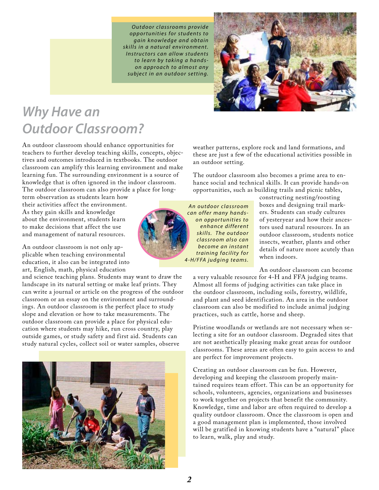*O u t d o o r c l a s s r o o m s p r o v i d e o p p o r t u n i t i e s f o r s t u d e n t s t o g a i n k n o w l e d g e a n d o b t a i n s k i l l s i n a n a t u ra l e n v i r o n m e n t . I n s t r u c t o r s ca n a l l o w s t u d e n t s t o l e a r n b y t a k i n g a h a n d s o n a p p r o a c h t o a l m o s t a n y s u b j e c t i n a n o u t d o o r s e t t i n g.*



### *Why Have an Outdoor Classroom?*

An outdoor classroom should enhance opportunities for teachers to further develop teaching skills, concepts, objectives and outcomes introduced in textbooks. The outdoor classroom can amplify this learning environment and make learning fun. The surrounding environment is a source of knowledge that is often ignored in the indoor classroom. The outdoor classroom can also provide a place for long-

term observation as students learn how their activities affect the environment. As they gain skills and knowledge about the environment, students learn to make decisions that affect the use and management of natural resources.

An outdoor classroom is not only applicable when teaching environmental education, it also can be integrated into art, English, math, physical education

and science teaching plans. Students may want to draw the landscape in its natural setting or make leaf prints. They can write a journal or article on the progress of the outdoor classroom or an essay on the environment and surroundings. An outdoor classroom is the perfect place to study slope and elevation or how to take measurements. The outdoor classroom can provide a place for physical education where students may hike, run cross country, play outside games, or study safety and first aid. Students can study natural cycles, collect soil or water samples, observe



weather patterns, explore rock and land formations, and these are just a few of the educational activities possible in an outdoor setting.

The outdoor classroom also becomes a prime area to enhance social and technical skills. It can provide hands-on opportunities, such as building trails and picnic tables,

*A n o u t d o o r c l a s s r o o m*  $can$  *offer many handso n o p p o r t u n i t i e s t o*  $en$ *hance different s k i l l s. T h e o u t d o o r c l a s s r o o m a l s o ca n b e c o m e a n i n s t a n t training facility for 4-H / F FA j u d g i n g t e a m s.*

constructing nesting/roosting boxes and designing trail markers. Students can study cultures of yesteryear and how their ancestors used natural resources. In an outdoor classroom, students notice insects, weather, plants and other details of nature more acutely than when indoors.

An outdoor classroom can become

a very valuable resource for 4-H and FFA judging teams. Almost all forms of judging activities can take place in the outdoor classroom, including soils, forestry, wildlife, and plant and seed identification. An area in the outdoor classroom can also be modified to include animal judging practices, such as cattle, horse and sheep.

Pristine woodlands or wetlands are not necessary when selecting a site for an outdoor classroom. Degraded sites that are not aesthetically pleasing make great areas for outdoor classrooms. These areas are often easy to gain access to and are perfect for improvement projects.

Creating an outdoor classroom can be fun. However, developing and keeping the classroom properly maintained requires team effort. This can be an opportunity for schools, volunteers, agencies, organizations and businesses to work together on projects that benefit the community. Knowledge, time and labor are often required to develop a quality outdoor classroom. Once the classroom is open and a good management plan is implemented, those involved will be gratified in knowing students have a "natural" place to learn, walk, play and study.

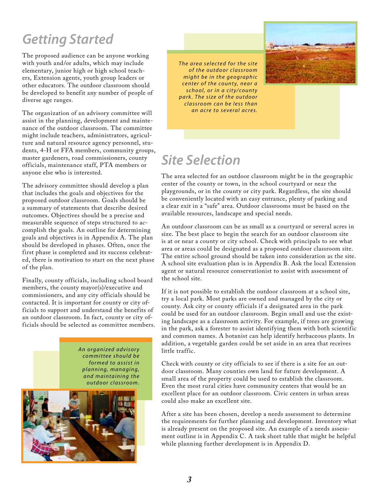### *Getting Started*

The proposed audience can be anyone working with youth and/or adults, which may include elementary, junior high or high school teachers, Extension agents, youth group leaders or other educators. The outdoor classroom should be developed to benefit any number of people of diverse age ranges.

The organization of an advisory committee will assist in the planning, development and maintenance of the outdoor classroom. The committee might include teachers, administrators, agriculture and natural resource agency personnel, students, 4-H or FFA members, community groups, master gardeners, road commissioners, county officials, maintenance staff, PTA members or anyone else who is interested.

The advisory committee should develop a plan that includes the goals and objectives for the proposed outdoor classroom. Goals should be a summary of statements that describe desired outcomes. Objectives should be a precise and measurable sequence of steps structured to accomplish the goals. An outline for determining goals and objectives is in Appendix A. The plan should be developed in phases. Often, once the first phase is completed and its success celebrated, there is motivation to start on the next phase of the plan.

Finally, county officials, including school board members, the county mayor(s)/executive and commissioners, and any city officials should be contacted. It is important for county or city officials to support and understand the benefits of an outdoor classroom. In fact, county or city officials should be selected as committee members.

> *A n o r g a n i z e d a d v i s o r y c o m m i t t e e s h o u l d b e f o r m e d t o a s s i s t i n p l a n n i n g, m a n a g i n g, and maintaining the o u t d o o r c l a s s r o o m .*



*The area selected for the site o f t h e o u t d o o r c l a s s r o o m might be in the geographic center of the county, near a s c h o o l, o r i n a c i t y / c o u n t y p a r k . T h e s i z e o f t h e o u t d o o r c l a s s r o o m ca n b e l e s s t h a n an acre to several acres.* 



## *Site Selection*

The area selected for an outdoor classroom might be in the geographic center of the county or town, in the school courtyard or near the playgrounds, or in the county or city park. Regardless, the site should be conveniently located with an easy entrance, plenty of parking and a clear exit in a "safe" area. Outdoor classrooms must be based on the available resources, landscape and special needs.

An outdoor classroom can be as small as a courtyard or several acres in size. The best place to begin the search for an outdoor classroom site is at or near a county or city school. Check with principals to see what area or areas could be designated as a proposed outdoor classroom site. The entire school ground should be taken into consideration as the site. A school site evaluation plan is in Appendix B. Ask the local Extension agent or natural resource conservationist to assist with assessment of the school site.

If it is not possible to establish the outdoor classroom at a school site, try a local park. Most parks are owned and managed by the city or county. Ask city or county officials if a designated area in the park could be used for an outdoor classroom. Begin small and use the existing landscape as a classroom activity. For example, if trees are growing in the park, ask a forester to assist identifying them with both scientific and common names. A botanist can help identify herbaceous plants. In addition, a vegetable garden could be set aside in an area that receives little traffic.

Check with county or city officials to see if there is a site for an outdoor classroom. Many counties own land for future development. A small area of the property could be used to establish the classroom. Even the most rural cities have community centers that would be an excellent place for an outdoor classroom. Civic centers in urban areas could also make an excellent site.

After a site has been chosen, develop a needs assessment to determine the requirements for further planning and development. Inventory what is already present on the proposed site. An example of a needs assessment outline is in Appendix C. A task sheet table that might be helpful while planning further development is in Appendix D.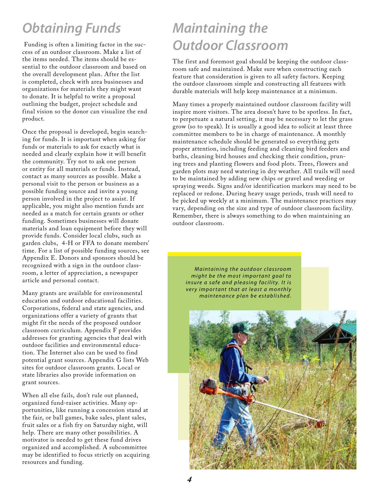## *Obtaining Funds*

 Funding is often a limiting factor in the success of an outdoor classroom. Make a list of the items needed. The items should be essential to the outdoor classroom and based on the overall development plan. After the list is completed, check with area businesses and organizations for materials they might want to donate. It is helpful to write a proposal outlining the budget, project schedule and final vision so the donor can visualize the end product.

Once the proposal is developed, begin searching for funds. It is important when asking for funds or materials to ask for exactly what is needed and clearly explain how it will benefit the community. Try not to ask one person or entity for all materials or funds. Instead, contact as many sources as possible. Make a personal visit to the person or business as a possible funding source and invite a young person involved in the project to assist. If applicable, you might also mention funds are needed as a match for certain grants or other funding. Sometimes businesses will donate materials and loan equipment before they will provide funds. Consider local clubs, such as garden clubs, 4-H or FFA to donate members' time. For a list of possible funding sources, see Appendix E. Donors and sponsors should be recognized with a sign in the outdoor classroom, a letter of appreciation, a newspaper article and personal contact.

Many grants are available for environmental education and outdoor educational facilities. Corporations, federal and state agencies, and organizations offer a variety of grants that might fit the needs of the proposed outdoor classroom curriculum. Appendix F provides addresses for granting agencies that deal with outdoor facilities and environmental education. The Internet also can be used to find potential grant sources. Appendix G lists Web sites for outdoor classroom grants. Local or state libraries also provide information on grant sources.

When all else fails, don't rule out planned, organized fund-raiser activities. Many opportunities, like running a concession stand at the fair, or ball games, bake sales, plant sales, fruit sales or a fish fry on Saturday night, will help. There are many other possibilities. A motivator is needed to get these fund drives organized and accomplished. A subcommittee may be identified to focus strictly on acquiring resources and funding.

## *Maintaining the Outdoor Classroom*

The first and foremost goal should be keeping the outdoor classroom safe and maintained. Make sure when constructing each feature that consideration is given to all safety factors. Keeping the outdoor classroom simple and constructing all features with durable materials will help keep maintenance at a minimum.

Many times a properly maintained outdoor classroom facility will inspire more visitors. The area doesn't have to be spotless. In fact, to perpetuate a natural setting, it may be necessary to let the grass grow (so to speak). It is usually a good idea to solicit at least three committee members to be in charge of maintenance. A monthly maintenance schedule should be generated so everything gets proper attention, including feeding and cleaning bird feeders and baths, cleaning bird houses and checking their condition, pruning trees and planting flowers and food plots. Trees, flowers and garden plots may need watering in dry weather. All trails will need to be maintained by adding new chips or gravel and weeding or spraying weeds. Signs and/or identification markers may need to be replaced or redone. During heavy usage periods, trash will need to be picked up weekly at a minimum. The maintenance practices may vary, depending on the size and type of outdoor classroom facility. Remember, there is always something to do when maintaining an outdoor classroom.

*Maintaining the outdoor classroom might be the most important goal to insure a safe and pleasing facility. It is very important that at least a monthly maintenance plan be established.* 

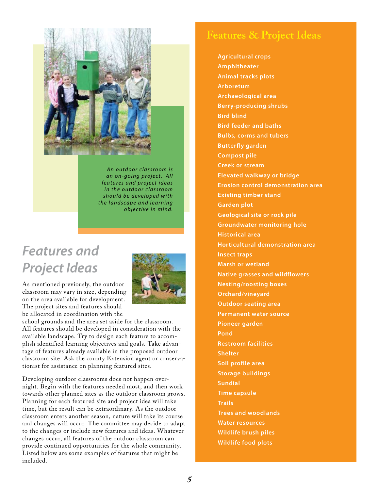

*A n o u t d o o r c l a s s r o o m i s an on-going project. All f e a t u r e s a n d p r o j e c t i d e a s i n t h e o u t d o o r c l a s s r o o m s h o u l d b e d e v e l o p e d w i t h t h e l a n d s ca p e a n d l e a r n i n g <i>objective* in mind.

### *Features and Project Ideas*

As mentioned previously, the outdoor classroom may vary in size, depending on the area available for development. The project sites and features should be allocated in coordination with the



school grounds and the area set aside for the classroom. All features should be developed in consideration with the available landscape. Try to design each feature to accomplish identified learning objectives and goals. Take advantage of features already available in the proposed outdoor classroom site. Ask the county Extension agent or conservationist for assistance on planning featured sites.

Developing outdoor classrooms does not happen overnight. Begin with the features needed most, and then work towards other planned sites as the outdoor classroom grows. Planning for each featured site and project idea will take time, but the result can be extraordinary. As the outdoor classroom enters another season, nature will take its course and changes will occur. The committee may decide to adapt to the changes or include new features and ideas. Whatever changes occur, all features of the outdoor classroom can provide continued opportunities for the whole community. Listed below are some examples of features that might be included.

### **Features & Project Ideas**

**Agricultural crops Amphitheater Animal tracks plots Arboretum Archaeological area Berry-producing shrubs Bird blind Bird feeder and baths Bulbs, corms and tubers Butterfly garden Compost pile Creek or stream Elevated walkway or bridge Erosion control demonstration area Existing timber stand Garden plot Geological site or rock pile Groundwater monitoring hole Historical area Horticultural demonstration area Insect traps Marsh or wetland Native grasses and wildflowers Nesting/roosting boxes Orchard/vineyard Outdoor seating area Permanent water source Pioneer garden Pond Restroom facilities Shelter Soil profile area Storage buildings Sundial Time capsule Trails Trees and woodlands Water resources Wildlife brush piles Wildlife food plots**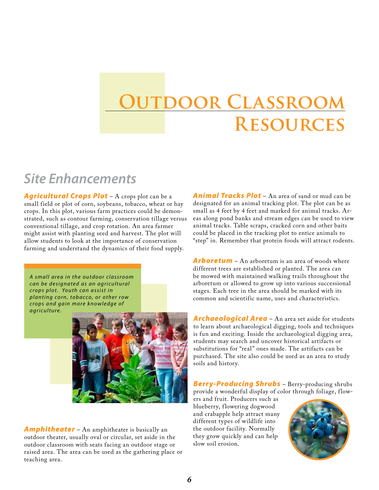# **Outdoor Classroom Resources**

### *Site Enhancements*

*Agricultural Crops Plot* – A crops plot can be a small field or plot of corn, soybeans, tobacco, wheat or hay crops. In this plot, various farm practices could be demonstrated, such as contour farming, conservation tillage versus conventional tillage, and crop rotation. An area farmer might assist with planting seed and harvest. The plot will allow students to look at the importance of conservation farming and understand the dynamics of their food supply.

*A s m a l l a r e a i n t h e o u t d o o r c l a s s r o o m ca n b e d e s i g n a t e d a s a n a g r i c u l t u ra l c r o p s p l o t . Yo u t h ca n a s s i s t i n planting corn, tobacco, or other row c r o p s a n d g a i n m o r e k n o w l e d g e o f*  $a$  *g riculture.* 



*Amphitheater* – An amphitheater is basically an outdoor theater, usually oval or circular, set aside in the outdoor classroom with seats facing an outdoor stage or raised area. The area can be used as the gathering place or teaching area.

*Animal Tracks Plot* – An area of sand or mud can be designated for an animal tracking plot. The plot can be as small as 4 feet by 4 feet and marked for animal tracks. Areas along pond banks and stream edges can be used to view animal tracks. Table scraps, cracked corn and other baits could be placed in the tracking plot to entice animals to "step" in. Remember that protein foods will attract rodents.

*Arboretum* – An arboretum is an area of woods where different trees are established or planted. The area can be mowed with maintained walking trails throughout the arboretum or allowed to grow up into various successional stages. Each tree in the area should be marked with its common and scientific name, uses and characteristics.

*Archaeological Area* – An area set aside for students to learn about archaeological digging, tools and techniques is fun and exciting. Inside the archaeological digging area, students may search and uncover historical artifacts or substitutions for "real" ones made. The artifacts can be purchased. The site also could be used as an area to study soils and history.

*Berry-Producing Shrubs* – Berry-producing shrubs provide a wonderful display of color through foliage, flow-

ers and fruit. Producers such as blueberry, flowering dogwood and crabapple help attract many different types of wildlife into the outdoor facility. Normally they grow quickly and can help slow soil erosion.

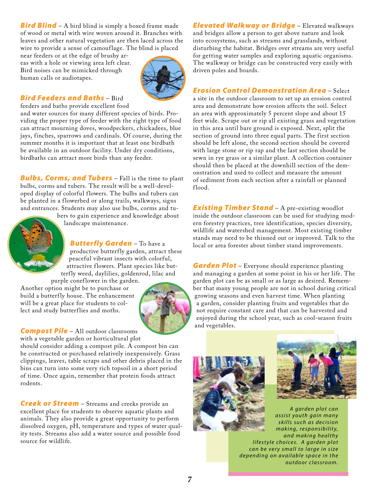*Bird Blind* – A bird blind is simply a boxed frame made of wood or metal with wire woven around it. Branches with leaves and other natural vegetation are then laced across the wire to provide a sense of camouflage. The blind is placed

near feeders or at the edge of brushy areas with a hole or viewing area left clear. Bird noises can be mimicked through human calls or audiotapes.



#### *Bird Feeders and Baths* – Bird

feeders and baths provide excellent food

and water sources for many different species of birds. Providing the proper type of feeder with the right type of food can attract mourning doves, woodpeckers, chickadees, blue jays, finches, sparrows and cardinals. Of course, during the summer months it is important that at least one birdbath be available in an outdoor facility. Under dry conditions, birdbaths can attract more birds than any feeder.

*Bulbs, Corms, and Tubers* – Fall is the time to plant bulbs, corms and tubers. The result will be a well-developed display of colorful flowers. The bulbs and tubers can be planted in a flowerbed or along trails, walkways, signs and entrances. Students may also use bulbs, corms and tu-



bers to gain experience and knowledge about landscape maintenance.

*Butterfly Garden* – To have a

productive butterfly garden, attract these peaceful vibrant insects with colorful, attractive flowers. Plant species like butterfly weed, daylilies, goldenrod, lilac and

purple coneflower in the garden. Another option might be to purchase or build a butterfly house. The enhancement will be a great place for students to collect and study butterflies and moths.



*Compost Pile* – All outdoor classrooms with a vegetable garden or horticultural plot

should consider adding a compost pile. A compost bin can be constructed or purchased relatively inexpensively. Grass clippings, leaves, table scraps and other debris placed in the bins can turn into some very rich topsoil in a short period of time. Once again, remember that protein foods attract rodents.

**Creek or Stream** – Streams and creeks provide an excellent place for students to observe aquatic plants and animals. They also provide a great opportunity to perform dissolved oxygen, pH, temperature and types of water quality tests. Streams also add a water source and possible food source for wildlife.

*Elevated Walkway or Bridge* – Elevated walkways and bridges allow a person to get above nature and look into ecosystems, such as streams and grasslands, without disturbing the habitat. Bridges over streams are very useful for getting water samples and exploring aquatic organisms. The walkway or bridge can be constructed very easily with driven poles and boards.

#### *Erosion Control Demonstration Area* – Select

a site in the outdoor classroom to set up an erosion control area and demonstrate how erosion affects the soil. Select an area with approximately 5 percent slope and about 15 feet wide. Scrape out or rip all existing grass and vegetation in this area until bare ground is exposed. Next, split the section of ground into three equal parts. The first section should be left alone, the second section should be covered with large stone or rip rap and the last section should be sewn in rye grass or a similar plant. A collection container should then be placed at the downhill section of the demonstration and used to collect and measure the amount of sediment from each section after a rainfall or planned flood.

**Existing Timber Stand** – A pre-existing woodlot inside the outdoor classroom can be used for studying modern forestry practices, tree identification, species diversity, wildlife and watershed management. Most existing timber stands may need to be thinned out or improved. Talk to the local or area forester about timber stand improvements.

*Garden Plot* – Everyone should experience planting and managing a garden at some point in his or her life. The garden plot can be as small or as large as desired. Remember that many young people are not in school during critical growing seasons and even harvest time. When planting a garden, consider planting fruits and vegetables that do not require constant care and that can be harvested and enjoyed during the school year, such as cool-season fruits and vegetables.





*A g a r d e n p l o t ca n a s s i s t y o u t h g a i n m a n y s k i l l s s u c h a s d e c i s i o n m a k i n g, r e s p o n s i b i l i t y, a n d m a k i n g h e a l t h y l i f e s t y l e c h o i c e s. A g a r d e n p l o t can be very small to large in size d e p e n d i n g o n a va i l a b l e s p a c e i n t h e o u t d o o r c l a s s r o o m .*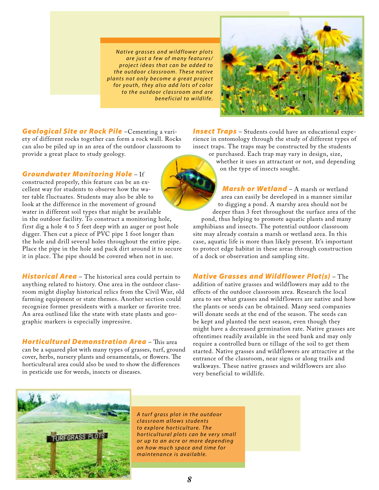*Native grasses and wildflower plots are just a few of many features/ p r o j e c t i d e a s t h a t ca n b e a d d e d t o t h e o u t d o o r c l a s s r o o m . T h e s e n a t i v e plants not only become a great project for youth, they also add lots of color to the outdoor classroom and are b e n e f i c i a l t o w i l d l i f e.*



*Geological Site or Rock Pile* –Cementing a variety of different rocks together can form a rock wall. Rocks can also be piled up in an area of the outdoor classroom to provide a great place to study geology.

*Groundwater Monitoring Hole* – If

constructed properly, this feature can be an excellent way for students to observe how the water table fluctuates. Students may also be able to look at the difference in the movement of ground water in different soil types that might be available in the outdoor facility. To construct a monitoring hole, first dig a hole 4 to 5 feet deep with an auger or post hole digger. Then cut a piece of PVC pipe 1 foot longer than the hole and drill several holes throughout the entire pipe. Place the pipe in the hole and pack dirt around it to secure it in place. The pipe should be covered when not in use.

*Historical Area* – The historical area could pertain to anything related to history. One area in the outdoor classroom might display historical relics from the Civil War, old farming equipment or state themes. Another section could recognize former presidents with a marker or favorite tree. An area outlined like the state with state plants and geographic markers is especially impressive.

*Horticultural Demonstration Area* – This area can be a squared plot with many types of grasses, turf, ground cover, herbs, nursery plants and ornamentals, or flowers. The horticultural area could also be used to show the differences in pesticide use for weeds, insects or diseases.

*Insect Traps* – Students could have an educational experience in entomology through the study of different types of insect traps. The traps may be constructed by the students

or purchased. Each trap may vary in design, size, whether it uses an attractant or not, and depending on the type of insects sought.

*Marsh or Wetland* – A marsh or wetland area can easily be developed in a manner similar to digging a pond. A marshy area should not be deeper than 3 feet throughout the surface area of the pond, thus helping to promote aquatic plants and many amphibians and insects. The potential outdoor classroom site may already contain a marsh or wetland area. In this case, aquatic life is more than likely present. It's important to protect edge habitat in these areas through construction of a dock or observation and sampling site.

*Native Grasses and Wildflower Plot(s)* – The

addition of native grasses and wildflowers may add to the effects of the outdoor classroom area. Research the local area to see what grasses and wildflowers are native and how the plants or seeds can be obtained. Many seed companies will donate seeds at the end of the season. The seeds can be kept and planted the next season, even though they might have a decreased germination rate. Native grasses are oftentimes readily available in the seed bank and may only require a controlled burn or tillage of the soil to get them started. Native grasses and wildflowers are attractive at the entrance of the classroom, near signs or along trails and walkways. These native grasses and wildflowers are also very beneficial to wildlife.



*A t u r f g ra s s p l o t i n t h e o u t d o o r c l a s s r o o m a l l o w s s t u d e n t s to explore horticulture. The h o r t i c u l t u ra l p l o t s ca n b e v e r y s m a l l or up to an acre or more depending o n h o w m u c h s p a c e a n d t i m e f o r maintenance is available.*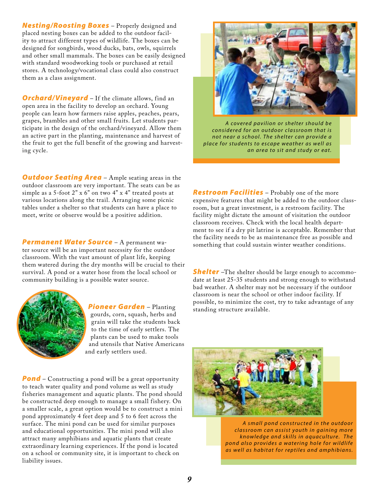*Nesting/Roosting Boxes* – Properly designed and placed nesting boxes can be added to the outdoor facility to attract different types of wildlife. The boxes can be designed for songbirds, wood ducks, bats, owls, squirrels and other small mammals. The boxes can be easily designed with standard woodworking tools or purchased at retail stores. A technology/vocational class could also construct them as a class assignment.

*Orchard/Vineyard* – If the climate allows, find an open area in the facility to develop an orchard. Young people can learn how farmers raise apples, peaches, pears, grapes, brambles and other small fruits. Let students participate in the design of the orchard/vineyard. Allow them an active part in the planting, maintenance and harvest of the fruit to get the full benefit of the growing and harvesting cycle.

**Outdoor Seating Area** - Ample seating areas in the outdoor classroom are very important. The seats can be as simple as a 5-foot 2" x 6" on two 4" x 4" treated posts at various locations along the trail. Arranging some picnic tables under a shelter so that students can have a place to meet, write or observe would be a positive addition.

*Permanent Water Source* – A permanent water source will be an important necessity for the outdoor classroom. With the vast amount of plant life, keeping them watered during the dry months will be crucial to their survival. A pond or a water hose from the local school or community building is a possible water source.



*Pioneer Garden* – Planting gourds, corn, squash, herbs and grain will take the students back to the time of early settlers. The plants can be used to make tools and utensils that Native Americans and early settlers used.

**Pond** – Constructing a pond will be a great opportunity to teach water quality and pond volume as well as study fisheries management and aquatic plants. The pond should be constructed deep enough to manage a small fishery. On a smaller scale, a great option would be to construct a mini pond approximately 4 feet deep and 5 to 6 feet across the surface. The mini pond can be used for similar purposes and educational opportunities. The mini pond will also attract many amphibians and aquatic plants that create extraordinary learning experiences. If the pond is located on a school or community site, it is important to check on liability issues.



*A c o v e r e d p a v i l i o n o r s h e l t e r s h o u l d b e c o n s i d e r e d f o r a n o u t d o o r c l a s s r o o m t h a t i s not near a school. The shelter can provide a p l a c e f o r s t u d e n t s t o e s ca p e w e a t h e r a s w e l l a s an area to sit and study or eat.* 

*Restroom Facilities* – Probably one of the more expensive features that might be added to the outdoor classroom, but a great investment, is a restroom facility. The facility might dictate the amount of visitation the outdoor classroom receives. Check with the local health department to see if a dry pit latrine is acceptable. Remember that the facility needs to be as maintenance free as possible and something that could sustain winter weather conditions.

*Shelter* –The shelter should be large enough to accommodate at least 25-35 students and strong enough to withstand bad weather. A shelter may not be necessary if the outdoor classroom is near the school or other indoor facility. If possible, to minimize the cost, try to take advantage of any standing structure available.



*A s m a l l p o n d c o n s t r u c t e d i n t h e o u t d o o r c l a s s r o o m ca n a s s i s t y o u t h i n g a i n i n g m o r e k n o w l e d g e a n d s k i l l s i n a q u a c u l t u r e. T h e p o n d a l s o p r o v i d e s a wa t e r i n g h o l e f o r w i l d l i f e a s w e l l a s h a b i t a t f o r r e p t i l e s a n d a m p h i b i a n s.*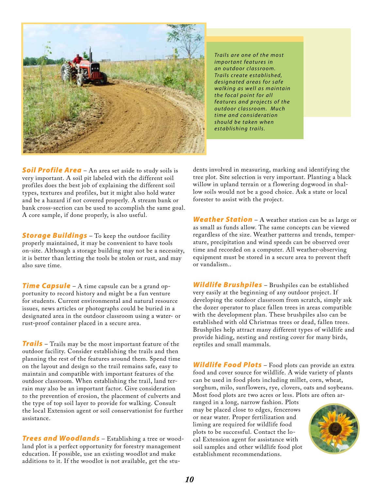

*Trails are one of the most i m p o r t a n t f e a t u r e s i n a n o u t d o o r c l a s s r o o m . Tra i l s c r e a t e e s t a b l i s h e d, d e s i g n a t e d a r e a s f o r s a f e wa l k i n g a s w e l l a s m a i n t a i n the focal point for all f e a t u r e s a n d p r o j e c t s o f t h e o u t d o o r c l a s s r o o m . M u c h t i m e a n d c o n s i d e ra t i o n s h o u l d b e t a ke n w h e n e s t a b l i s h i n g t ra i l s.*

**Soil Profile Area** – An area set aside to study soils is very important. A soil pit labeled with the different soil profiles does the best job of explaining the different soil types, textures and profiles, but it might also hold water and be a hazard if not covered properly. A stream bank or bank cross-section can be used to accomplish the same goal. A core sample, if done properly, is also useful.

**Storage Buildings** – To keep the outdoor facility properly maintained, it may be convenient to have tools on-site. Although a storage building may not be a necessity, it is better than letting the tools be stolen or rust, and may also save time.

**Time Capsule** – A time capsule can be a grand opportunity to record history and might be a fun venture for students. Current environmental and natural resource issues, news articles or photographs could be buried in a designated area in the outdoor classroom using a water- or rust-proof container placed in a secure area.

*Trails* – Trails may be the most important feature of the outdoor facility. Consider establishing the trails and then planning the rest of the features around them. Spend time on the layout and design so the trail remains safe, easy to maintain and compatible with important features of the outdoor classroom. When establishing the trail, land terrain may also be an important factor. Give consideration to the prevention of erosion, the placement of culverts and the type of top soil layer to provide for walking. Consult the local Extension agent or soil conservationist for further assistance.

*Trees and Woodlands* – Establishing a tree or woodland plot is a perfect opportunity for forestry management education. If possible, use an existing woodlot and make additions to it. If the woodlot is not available, get the stu-

dents involved in measuring, marking and identifying the tree plot. Site selection is very important. Planting a black willow in upland terrain or a flowering dogwood in shallow soils would not be a good choice. Ask a state or local forester to assist with the project.

*Weather Station* – A weather station can be as large or as small as funds allow. The same concepts can be viewed regardless of the size. Weather patterns and trends, temperature, precipitation and wind speeds can be observed over time and recorded on a computer. All weather-observing equipment must be stored in a secure area to prevent theft or vandalism..

*Wildlife Brushpiles* – Brushpiles can be established very easily at the beginning of any outdoor project. If developing the outdoor classroom from scratch, simply ask the dozer operator to place fallen trees in areas compatible with the development plan. These brushpiles also can be established with old Christmas trees or dead, fallen trees. Brushpiles help attract many different types of wildlife and provide hiding, nesting and resting cover for many birds, reptiles and small mammals.

*Wildlife Food Plots* – Food plots can provide an extra food and cover source for wildlife. A wide variety of plants can be used in food plots including millet, corn, wheat, sorghum, milo, sunflowers, rye, clovers, oats and soybeans. Most food plots are two acres or less. Plots are often ar-

ranged in a long, narrow fashion. Plots may be placed close to edges, fencerows or near water. Proper fertilization and liming are required for wildlife food plots to be successful. Contact the local Extension agent for assistance with soil samples and other wildlife food plot establishment recommendations.

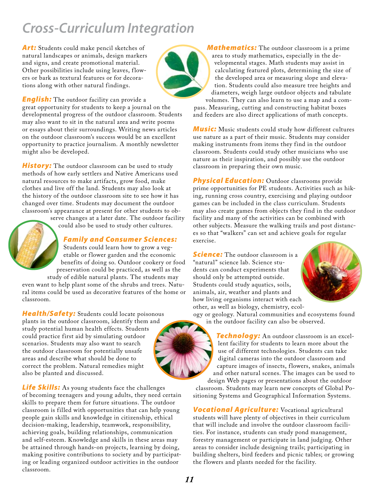### *Cross-Curriculum Integration*

Art: Students could make pencil sketches of natural landscapes or animals, design markers and signs, and create promotional material. Other possibilities include using leaves, flowers or bark as textural features or for decorations along with other natural findings.



**English:** The outdoor facility can provide a great opportunity for students to keep a journal on the developmental progress of the outdoor classroom. Students may also want to sit in the natural area and write poems or essays about their surroundings. Writing news articles on the outdoor classroom's success would be an excellent opportunity to practice journalism. A monthly newsletter might also be developed.

**History:** The outdoor classroom can be used to study methods of how early settlers and Native Americans used natural resources to make artifacts, grow food, make clothes and live off the land. Students may also look at the history of the outdoor classroom site to see how it has changed over time. Students may document the outdoor classroom's appearance at present for other students to ob-

serve changes at a later date. The outdoor facility

could also be used to study other cultures.

#### *Family and Consumer Sciences:*

Students could learn how to grow a vegetable or flower garden and the economic benefits of doing so. Outdoor cookery or food preservation could be practiced, as well as the

study of edible natural plants. The students may even want to help plant some of the shrubs and trees. Natural items could be used as decorative features of the home or classroom.

*Health/Safety:* Students could locate poisonous plants in the outdoor classroom, identify them and study potential human health effects. Students could practice first aid by simulating outdoor scenarios. Students may also want to search the outdoor classroom for potentially unsafe areas and describe what should be done to correct the problem. Natural remedies might also be planted and discussed.

*Life Skills:* As young students face the challenges of becoming teenagers and young adults, they need certain skills to prepare them for future situations. The outdoor classroom is filled with opportunities that can help young people gain skills and knowledge in citizenship, ethical decision-making, leadership, teamwork, responsibility, achieving goals, building relationships, communication and self-esteem. Knowledge and skills in these areas may be attained through hands-on projects, learning by doing, making positive contributions to society and by participating or leading organized outdoor activities in the outdoor classroom.

*Mathematics:* The outdoor classroom is a prime area to study mathematics, especially in the developmental stages. Math students may assist in calculating featured plots, determining the size of the developed area or measuring slope and elevation. Students could also measure tree heights and diameters, weigh large outdoor objects and tabulate

volumes. They can also learn to use a map and a compass. Measuring, cutting and constructing habitat boxes and feeders are also direct applications of math concepts.

*Music:* Music students could study how different cultures use nature as a part of their music. Students may consider making instruments from items they find in the outdoor classroom. Students could study other musicians who use nature as their inspiration, and possibly use the outdoor classroom in preparing their own music.

**Physical Education:** Outdoor classrooms provide prime opportunities for PE students. Activities such as hiking, running cross country, exercising and playing outdoor games can be included in the class curriculum. Students may also create games from objects they find in the outdoor facility and many of the activities can be combined with other subjects. Measure the walking trails and post distances so that "walkers" can set and achieve goals for regular exercise.

**Science:** The outdoor classroom is a "natural" science lab. Science students can conduct experiments that should only be attempted outside. Students could study aquatics, soils, animals, air, weather and plants and how living organisms interact with each other, as well as biology, chemistry, ecol-



ogy or geology. Natural communities and ecosystems found in the outdoor facility can also be observed.

*Technology:* An outdoor classroom is an excellent facility for students to learn more about the use of different technologies. Students can take digital cameras into the outdoor classroom and capture images of insects, flowers, snakes, animals and other natural scenes. The images can be used to design Web pages or presentations about the outdoor

classroom. Students may learn new concepts of Global Positioning Systems and Geographical Information Systems.

*Vocational Agriculture:* Vocational agricultural students will have plenty of objectives in their curriculum that will include and involve the outdoor classroom facilities. For instance, students can study pond management, forestry management or participate in land judging. Other areas to consider include designing trails; participating in building shelters, bird feeders and picnic tables; or growing the flowers and plants needed for the facility.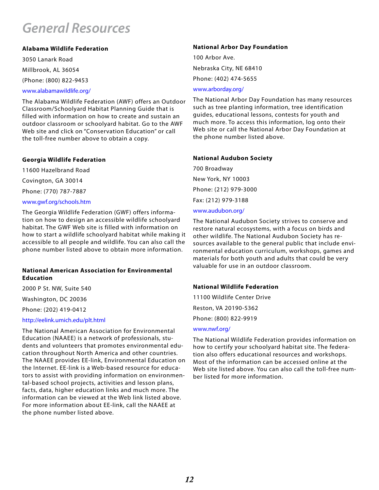### *General Resources*

#### **Alabama Wildlife Federation**

3050 Lanark Road Millbrook, AL 36054

(Phone: (800) 822-9453

#### www.alabamawildlife.org/

The Alabama Wildlife Federation (AWF) offers an Outdoor Classroom/Schoolyard Habitat Planning Guide that is filled with information on how to create and sustain an outdoor classroom or schoolyard habitat. Go to the AWF Web site and click on "Conservation Education" or call the toll-free number above to obtain a copy.

#### **Georgia Wildlife Federation**

11600 Hazelbrand Road Covington, GA 30014 Phone: (770) 787-7887 www.gwf.org/schools.htm

The Georgia Wildlife Federation (GWF) offers information on how to design an accessible wildlife schoolyard habitat. The GWF Web site is filled with information on how to start a wildlife schoolyard habitat while making it accessible to all people and wildlife. You can also call the phone number listed above to obtain more information.

#### **National American Association for Environmental Education**

2000 P St. NW, Suite 540

Washington, DC 20036

Phone: (202) 419-0412

#### http://eelink.umich.edu/plt.html

The National American Association for Environmental Education (NAAEE) is a network of professionals, students and volunteers that promotes environmental education throughout North America and other countries. The NAAEE provides EE-link, Environmental Education on the Internet. EE-link is a Web-based resource for educators to assist with providing information on environmental-based school projects, activities and lesson plans, facts, data, higher education links and much more. The information can be viewed at the Web link listed above. For more information about EE-link, call the NAAEE at the phone number listed above.

#### **National Arbor Day Foundation**

100 Arbor Ave. Nebraska City, NE 68410 Phone: (402) 474-5655

www.arborday.org/

The National Arbor Day Foundation has many resources such as tree planting information, tree identification guides, educational lessons, contests for youth and much more. To access this information, log onto their Web site or call the National Arbor Day Foundation at the phone number listed above.

#### **National Audubon Society**

700 Broadway New York, NY 10003 Phone: (212) 979-3000 Fax: (212) 979-3188 www.audubon.org/

The National Audubon Society strives to conserve and restore natural ecosystems, with a focus on birds and other wildlife. The National Audubon Society has resources available to the general public that include environmental education curriculum, workshops, games and materials for both youth and adults that could be very valuable for use in an outdoor classroom.

#### **National Wildlife Federation**

11100 Wildlife Center Drive Reston, VA 20190-5362 Phone: (800) 822-9919

#### www.nwf.org/

The National Wildlife Federation provides information on how to certify your schoolyard habitat site. The federation also offers educational resources and workshops. Most of the information can be accessed online at the Web site listed above. You can also call the toll-free number listed for more information.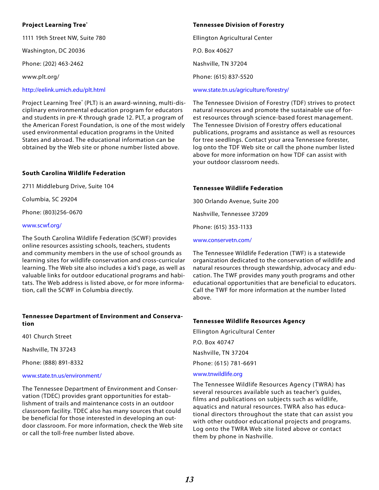#### **Project Learning Tree®**

1111 19th Street NW, Suite 780

Washington, DC 20036

Phone: (202) 463-2462

www.plt.org/

#### http://eelink.umich.edu/plt.html

Project Learning Tree® (PLT) is an award-winning, multi-disciplinary environmental education program for educators and students in pre-K through grade 12. PLT, a program of the American Forest Foundation, is one of the most widely used environmental education programs in the United States and abroad. The educational information can be obtained by the Web site or phone number listed above.

#### **South Carolina Wildlife Federation**

2711 Middleburg Drive, Suite 104

Columbia, SC 29204

Phone: (803)256-0670

#### www.scwf.org/

The South Carolina Wildlife Federation (SCWF) provides online resources assisting schools, teachers, students and community members in the use of school grounds as learning sites for wildlife conservation and cross-curricular learning. The Web site also includes a kid's page, as well as valuable links for outdoor educational programs and habitats. The Web address is listed above, or for more information, call the SCWF in Columbia directly.

#### **Tennessee Department of Environment and Conservation**

401 Church Street

Nashville, TN 37243

Phone: (888) 891-8332

#### www.state.tn.us/environment/

The Tennessee Department of Environment and Conservation (TDEC) provides grant opportunities for establishment of trails and maintenance costs in an outdoor classroom facility. TDEC also has many sources that could be beneficial for those interested in developing an outdoor classroom. For more information, check the Web site or call the toll-free number listed above.

#### **Tennessee Division of Forestry**

Ellington Agricultural Center P.O. Box 40627 Nashville, TN 37204 Phone: (615) 837-5520 www.state.tn.us/agriculture/forestry/

The Tennessee Division of Forestry (TDF) strives to protect natural resources and promote the sustainable use of forest resources through science-based forest management. The Tennessee Division of Forestry offers educational publications, programs and assistance as well as resources for tree seedlings. Contact your area Tennessee forester, log onto the TDF Web site or call the phone number listed above for more information on how TDF can assist with your outdoor classroom needs.

#### **Tennessee Wildlife Federation**

300 Orlando Avenue, Suite 200 Nashville, Tennessee 37209

Phone: (615) 353-1133

#### www.conservetn.com/

The Tennessee Wildlife Federation (TWF) is a statewide organization dedicated to the conservation of wildlife and natural resources through stewardship, advocacy and education. The TWF provides many youth programs and other educational opportunities that are beneficial to educators. Call the TWF for more information at the number listed above.

#### **Tennessee Wildlife Resources Agency**

Ellington Agricultural Center P.O. Box 40747 Nashville, TN 37204 Phone: (615) 781-6691 www.tnwildlife.org

The Tennessee Wildlife Resources Agency (TWRA) has several resources available such as teacher's guides, films and publications on subjects such as wildlife, aquatics and natural resources. TWRA also has educational directors throughout the state that can assist you with other outdoor educational projects and programs. Log onto the TWRA Web site listed above or contact them by phone in Nashville.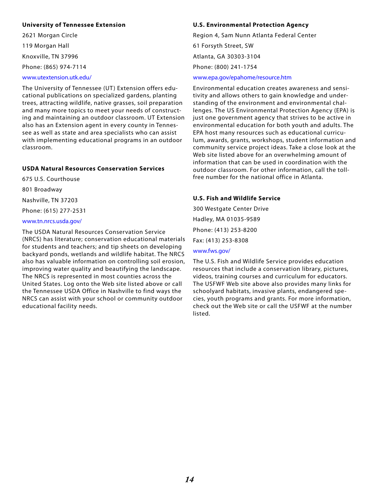#### **University of Tennessee Extension**

2621 Morgan Circle 119 Morgan Hall Knoxville, TN 37996 Phone: (865) 974-7114 www.utextension.utk.edu/

#### The University of Tennessee (UT ) Extension offers educational publications on specialized gardens, planting trees, attracting wildlife, native grasses, soil preparation and many more topics to meet your needs of constructing and maintaining an outdoor classroom. UT Extension also has an Extension agent in every county in Tennessee as well as state and area specialists who can assist with implementing educational programs in an outdoor classroom.

#### **USDA Natural Resources Conservation Services**

675 U.S. Courthouse

801 Broadway

Nashville, TN 37203

Phone: (615) 277-2531

#### www.tn.nrcs.usda.gov/

The USDA Natural Resources Conservation Service (NRCS) has literature; conservation educational materials for students and teachers; and tip sheets on developing backyard ponds, wetlands and wildlife habitat. The NRCS also has valuable information on controlling soil erosion, improving water quality and beautifying the landscape. The NRCS is represented in most counties across the United States. Log onto the Web site listed above or call the Tennessee USDA Office in Nashville to find ways the NRCS can assist with your school or community outdoor educational facility needs.

#### **U.S. Environmental Protection Agency**

Region 4, Sam Nunn Atlanta Federal Center 61 Forsyth Street, SW Atlanta, GA 30303-3104 Phone: (800) 241-1754

#### www.epa.gov/epahome/resource.htm

Environmental education creates awareness and sensitivity and allows others to gain knowledge and understanding of the environment and environmental challenges. The US Environmental Protection Agency (EPA) is just one government agency that strives to be active in environmental education for both youth and adults. The EPA host many resources such as educational curriculum, awards, grants, workshops, student information and community service project ideas. Take a close look at the Web site listed above for an overwhelming amount of information that can be used in coordination with the outdoor classroom. For other information, call the tollfree number for the national office in Atlanta.

#### **U.S. Fish and Wildlife Service**

300 Westgate Center Drive Hadley, MA 01035-9589 Phone: (413) 253-8200 Fax: (413) 253-8308

#### www.fws.gov/

The U.S. Fish and Wildlife Service provides education resources that include a conservation library, pictures, videos, training courses and curriculum for educators. The USFWF Web site above also provides many links for schoolyard habitats, invasive plants, endangered species, youth programs and grants. For more information, check out the Web site or call the USFWF at the number listed.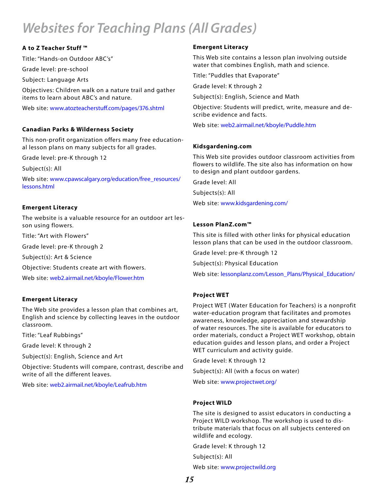### *Websites for Teaching Plans (All Grades)*

#### **A to Z Teacher Stuff ™**

Title: "Hands-on Outdoor ABC's"

Grade level: pre-school

Subject: Language Arts

Objectives: Children walk on a nature trail and gather items to learn about ABC's and nature.

Web site: www.atozteacherstuff.com/pages/376.shtml

#### **Canadian Parks & Wilderness Society**

This non-profit organization offers many free educational lesson plans on many subjects for all grades.

Grade level: pre-K through 12

Subject(s): All

Web site: www.cpawscalgary.org/education/free\_resources/ lessons.html

#### **Emergent Literacy**

The website is a valuable resource for an outdoor art lesson using flowers.

Title: "Art with Flowers"

Grade level: pre-K through 2

Subject(s): Art & Science

Objective: Students create art with flowers.

Web site: web2.airmail.net/kboyle/Flower.htm

#### **Emergent Literacy**

The Web site provides a lesson plan that combines art, English and science by collecting leaves in the outdoor classroom.

Title: "Leaf Rubbings"

Grade level: K through 2

Subject(s): English, Science and Art

Objective: Students will compare, contrast, describe and write of all the different leaves.

Web site: web2.airmail.net/kboyle/Leafrub.htm

#### **Emergent Literacy**

This Web site contains a lesson plan involving outside water that combines English, math and science.

Title: "Puddles that Evaporate"

Grade level: K through 2

Subject(s): English, Science and Math

Objective: Students will predict, write, measure and describe evidence and facts.

Web site: web2.airmail.net/kboyle/Puddle.htm

#### **Kidsgardening.com**

This Web site provides outdoor classroom activities from flowers to wildlife. The site also has information on how to design and plant outdoor gardens.

Grade level: All

Subjects(s): All

Web site: www.kidsgardening.com/

#### **Lesson PlanZ.com™**

This site is filled with other links for physical education lesson plans that can be used in the outdoor classroom.

Grade level: pre-K through 12

Subject(s): Physical Education

Web site: lessonplanz.com/Lesson\_Plans/Physical\_Education/

#### **Project WET**

Project WET (Water Education for Teachers) is a nonprofit water-education program that facilitates and promotes awareness, knowledge, appreciation and stewardship of water resources. The site is available for educators to order materials, conduct a Project WET workshop, obtain education guides and lesson plans, and order a Project WET curriculum and activity guide.

Grade level: K through 12

Subject(s): All (with a focus on water)

Web site: www.projectwet.org/

#### **Project WILD**

The site is designed to assist educators in conducting a Project WILD workshop. The workshop is used to distribute materials that focus on all subjects centered on wildlife and ecology.

Grade level: K through 12

Subject(s): All

Web site: www.projectwild.org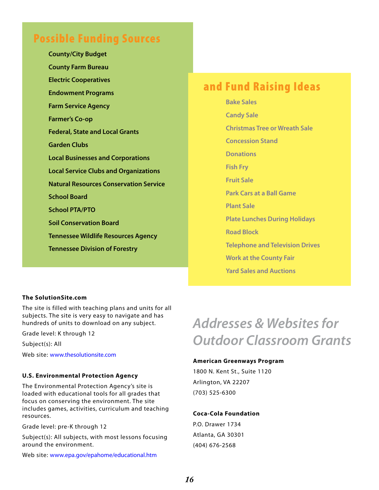### Possible Funding Sources

**County/City Budget County Farm Bureau Electric Cooperatives Endowment Programs Farm Service Agency Farmer's Co-op Federal, State and Local Grants Garden Clubs Local Businesses and Corporations Local Service Clubs and Organizations Natural Resources Conservation Service School Board School PTA/PTO Soil Conservation Board Tennessee Wildlife Resources Agency Tennessee Division of Forestry**

### and Fund Raising Ideas

**Bake Sales Candy Sale Christmas Tree or Wreath Sale Concession Stand Donations Fish Fry Fruit Sale Park Cars at a Ball Game Plant Sale Plate Lunches During Holidays Road Block Telephone and Television Drives Work at the County Fair Yard Sales and Auctions**

#### **The SolutionSite.com**

The site is filled with teaching plans and units for all subjects. The site is very easy to navigate and has hundreds of units to download on any subject.

Grade level: K through 12

Subject(s): All

Web site: www.thesolutionsite.com

#### **U.S. Environmental Protection Agency**

The Environmental Protection Agency's site is loaded with educational tools for all grades that focus on conserving the environment. The site includes games, activities, curriculum and teaching resources.

Grade level: pre-K through 12

Subject(s): All subjects, with most lessons focusing around the environment.

Web site: www.epa.gov/epahome/educational.htm

# *Addresses & Websites for Outdoor Classroom Grants*

#### **American Greenways Program**

1800 N. Kent St., Suite 1120 Arlington, VA 22207 (703) 525-6300

#### **Coca-Cola Foundation**

P.O. Drawer 1734 Atlanta, GA 30301 (404) 676-2568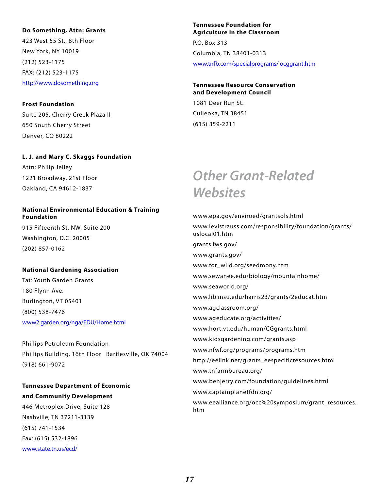#### **Do Something, Attn: Grants**

423 West 55 St., 8th Floor New York, NY 10019 (212) 523-1175 FAX: (212) 523-1175 http://www.dosomething.org

**Frost Foundation** Suite 205, Cherry Creek Plaza II 650 South Cherry Street Denver, CO 80222

#### **L. J. and Mary C. Skaggs Foundation**

Attn: Philip Jelley 1221 Broadway, 21st Floor Oakland, CA 94612-1837

#### **National Environmental Education & Training Foundation**

915 Fifteenth St, NW, Suite 200 Washington, D.C. 20005 (202) 857-0162

#### **National Gardening Association**

Tat: Youth Garden Grants 180 Flynn Ave. Burlington, VT 05401 (800) 538-7476 www2.garden.org/nga/EDU/Home.html

Phillips Petroleum Foundation Phillips Building, 16th Floor Bartlesville, OK 74004 (918) 661-9072

#### **Tennessee Department of Economic and Community Development**

446 Metroplex Drive, Suite 128 Nashville, TN 37211-3139 (615) 741-1534 Fax: (615) 532-1896 www.state.tn.us/ecd/

#### **Tennessee Foundation for Agriculture in the Classroom**

P.O. Box 313 Columbia, TN 38401-0313 www.tnfb.com/specialprograms/ ocggrant.htm

#### **Tennessee Resource Conservation and Development Council**

1081 Deer Run St. Culleoka, TN 38451 (615) 359-2211

### *Other Grant-Related Websites*

www.epa.gov/enviroed/grantsols.html www.levistrauss.com/responsibility/foundation/grants/ uslocal01.htm grants.fws.gov/ www.grants.gov/ www.for\_wild.org/seedmony.htm www.sewanee.edu/biology/mountainhome/ www.seaworld.org/ www.lib.msu.edu/harris23/grants/2educat.htm www.agclassroom.org/ www.ageducate.org/activities/ www.hort.vt.edu/human/CGgrants.html www.kidsgardening.com/grants.asp www.nfwf.org/programs/programs.htm http://eelink.net/grants\_eespecificresources.html www.tnfarmbureau.org/ www.benjerry.com/foundation/guidelines.html www.captainplanetfdn.org/ www.eealliance.org/occ%20symposium/grant\_resources. htm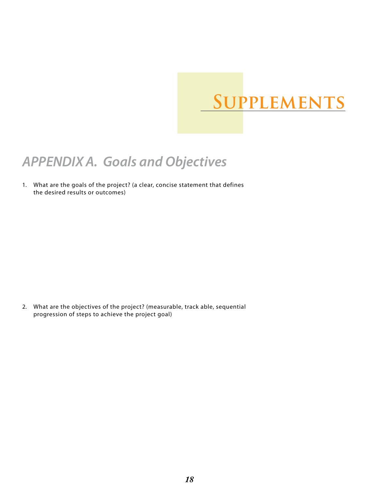# **Supplements**

### *APPENDIX A. Goals and Objectives*

What are the goals of the project? (a clear, concise statement that defines 1. the desired results or outcomes)

What are the objectives of the project? (measurable, track able, sequential 2. progression of steps to achieve the project goal)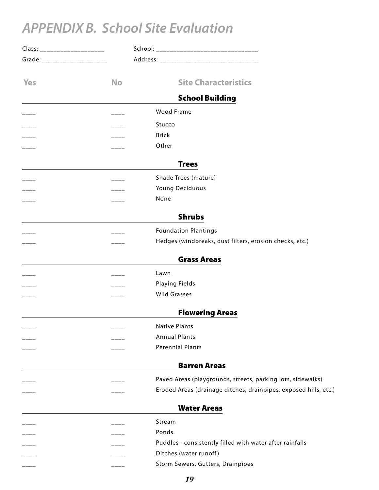## *APPENDIX B. School Site Evaluation*

| Class: _____________________   |           |                                                                  |
|--------------------------------|-----------|------------------------------------------------------------------|
| Grade: _______________________ |           |                                                                  |
| <b>Yes</b>                     | <b>No</b> | <b>Site Characteristics</b>                                      |
|                                |           | <b>School Building</b>                                           |
|                                |           | Wood Frame                                                       |
|                                |           | Stucco                                                           |
|                                |           | <b>Brick</b>                                                     |
|                                |           | Other                                                            |
|                                |           | <b>Trees</b>                                                     |
|                                |           | Shade Trees (mature)                                             |
|                                |           | Young Deciduous                                                  |
|                                |           | None                                                             |
|                                |           | <b>Shrubs</b>                                                    |
|                                |           | <b>Foundation Plantings</b>                                      |
|                                |           | Hedges (windbreaks, dust filters, erosion checks, etc.)          |
|                                |           | <b>Grass Areas</b>                                               |
|                                |           | Lawn                                                             |
|                                |           | Playing Fields                                                   |
|                                |           | <b>Wild Grasses</b>                                              |
|                                |           | <b>Flowering Areas</b>                                           |
|                                |           | <b>Native Plants</b>                                             |
|                                |           | <b>Annual Plants</b>                                             |
|                                |           | <b>Perennial Plants</b>                                          |
|                                |           | <b>Barren Areas</b>                                              |
|                                |           | Paved Areas (playgrounds, streets, parking lots, sidewalks)      |
|                                |           | Eroded Areas (drainage ditches, drainpipes, exposed hills, etc.) |
|                                |           | <b>Water Areas</b>                                               |
|                                |           | Stream                                                           |
|                                |           | Ponds                                                            |
|                                |           | Puddles - consistently filled with water after rainfalls         |
|                                |           | Ditches (water runoff)                                           |
|                                |           | Storm Sewers, Gutters, Drainpipes                                |
|                                |           |                                                                  |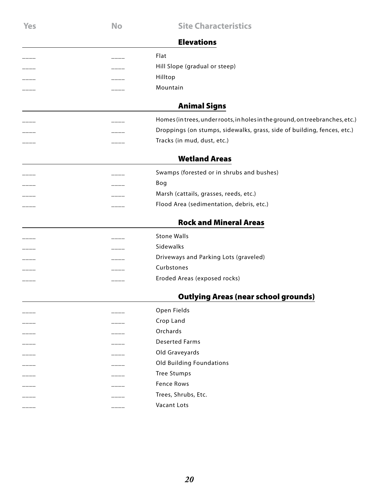| <b>Yes</b> | <b>No</b> | <b>Site Characteristics</b>                                                  |
|------------|-----------|------------------------------------------------------------------------------|
|            |           | <b>Elevations</b>                                                            |
|            |           | Flat                                                                         |
|            |           | Hill Slope (gradual or steep)                                                |
|            |           | Hilltop                                                                      |
|            |           | Mountain                                                                     |
|            |           | <b>Animal Signs</b>                                                          |
|            |           | Homes (in trees, under roots, in holes in the ground, on treebranches, etc.) |
|            |           | Droppings (on stumps, sidewalks, grass, side of building, fences, etc.)      |
|            |           | Tracks (in mud, dust, etc.)                                                  |
|            |           | <b>Wetland Areas</b>                                                         |
|            |           | Swamps (forested or in shrubs and bushes)                                    |
|            |           | Bog                                                                          |
|            |           | Marsh (cattails, grasses, reeds, etc.)                                       |
|            |           | Flood Area (sedimentation, debris, etc.)                                     |
|            |           | <b>Rock and Mineral Areas</b>                                                |
|            |           |                                                                              |
|            |           | <b>Stone Walls</b>                                                           |
|            |           | Sidewalks                                                                    |
|            |           | Driveways and Parking Lots (graveled)                                        |
|            |           | Curbstones                                                                   |
|            |           | Eroded Areas (exposed rocks)                                                 |
|            |           | <b>Outlying Areas (near school grounds)</b>                                  |
|            |           | Open Fields                                                                  |
|            |           | Crop Land                                                                    |
|            |           | Orchards                                                                     |
|            |           | <b>Deserted Farms</b>                                                        |
|            |           | Old Graveyards                                                               |
|            |           | <b>Old Building Foundations</b>                                              |
|            |           | <b>Tree Stumps</b>                                                           |
|            |           | <b>Fence Rows</b>                                                            |
|            |           | Trees, Shrubs, Etc.                                                          |
|            |           | Vacant Lots                                                                  |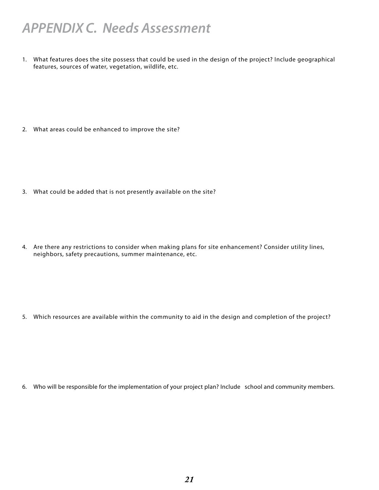### *APPENDIX C. Needs Assessment*

What features does the site possess that could be used in the design of the project? Include geographical 1. features, sources of water, vegetation, wildlife, etc.

What areas could be enhanced to improve the site? 2.

- What could be added that is not presently available on the site? 3.
- 4. Are there any restrictions to consider when making plans for site enhancement? Consider utility lines, neighbors, safety precautions, summer maintenance, etc.

Which resources are available within the community to aid in the design and completion of the project? 5.

Who will be responsible for the implementation of your project plan? Include school and community members. 6.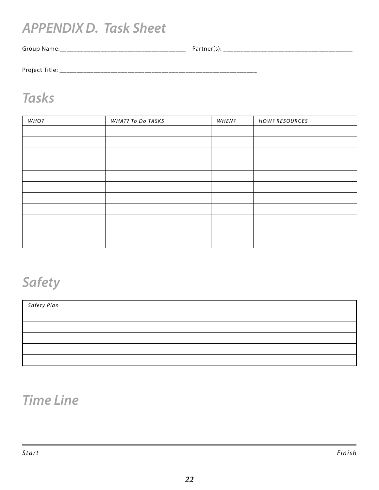### *APPENDIX D. Task Sheet*

Group Name:\_\_\_\_\_\_\_\_\_\_\_\_\_\_\_\_\_\_\_\_\_\_\_\_\_\_\_\_\_\_\_\_\_\_\_\_\_ Partner(s): \_\_\_\_\_\_\_\_\_\_\_\_\_\_\_\_\_\_\_\_\_\_\_\_\_\_\_\_\_\_\_\_\_\_\_\_\_\_

Project Title: \_\_\_\_\_\_\_\_\_\_\_\_\_\_\_\_\_\_\_\_\_\_\_\_\_\_\_\_\_\_\_\_\_\_\_\_\_\_\_\_\_\_\_\_\_\_\_\_\_\_\_\_\_\_\_\_\_\_

### *Tasks*

| WHO? | WHAT? To Do TASKS | WHEN? | <b>HOW? RESOURCES</b> |
|------|-------------------|-------|-----------------------|
|      |                   |       |                       |
|      |                   |       |                       |
|      |                   |       |                       |
|      |                   |       |                       |
|      |                   |       |                       |
|      |                   |       |                       |
|      |                   |       |                       |
|      |                   |       |                       |
|      |                   |       |                       |
|      |                   |       |                       |
|      |                   |       |                       |

## *Safety*

| Safety Plan |  |
|-------------|--|
|             |  |
|             |  |
|             |  |
|             |  |
|             |  |

### *Time Line*

\_\_\_\_\_\_\_\_\_\_\_\_\_\_\_\_\_\_\_\_\_\_\_\_\_\_\_\_\_\_\_\_\_\_\_\_\_\_\_\_\_\_\_\_\_\_\_\_\_\_\_\_\_\_\_\_\_\_\_\_\_\_\_\_\_\_\_\_\_\_\_\_\_\_\_\_\_\_\_\_\_\_\_\_\_\_\_\_\_\_\_\_\_\_\_\_\_\_